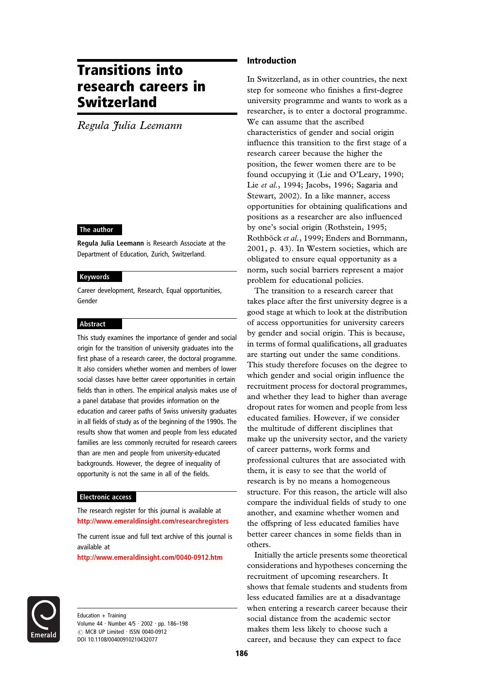# **Transitions into** research careers in **Switzerland**

Regula Julia Leemann

#### The author

Regula Julia Leemann is Research Associate at the Department of Education, Zurich, Switzerland.

#### **Keywords**

Career development, Research, Equal opportunities, Gender

#### **Abstract**

This study examines the importance of gender and social origin for the transition of university graduates into the first phase of a research career, the doctoral programme. It also considers whether women and members of lower social classes have better career opportunities in certain fields than in others. The empirical analysis makes use of a panel database that provides information on the education and career paths of Swiss university graduates in all fields of study as of the beginning of the 1990s. The results show that women and people from less educated families are less commonly recruited for research careers than are men and people from university-educated backgrounds. However, the degree of inequality of opportunity is not the same in all of the fields.

#### **Electronic access**

The research register for this journal is available at http://www.emeraldinsight.com/researchregisters

The current issue and full text archive of this journal is available at

http://www.emeraldinsight.com/0040-0912.htm



Education + Training Volume 44 · Number 4/5 · 2002 · pp. 186-198 © MCB UP Limited · ISSN 0040-0912 DOI 10.1108/00400910210432077

#### **Introduction**

In Switzerland, as in other countries, the next step for someone who finishes a first-degree university programme and wants to work as a researcher, is to enter a doctoral programme. We can assume that the ascribed characteristics of gender and social origin influence this transition to the first stage of a research career because the higher the position, the fewer women there are to be found occupying it (Lie and O'Leary, 1990; Lie et al., 1994; Jacobs, 1996; Sagaria and Stewart, 2002). In a like manner, access opportunities for obtaining qualifications and positions as a researcher are also influenced by one's social origin (Rothstein, 1995; Rothböck et al., 1999; Enders and Bornmann, 2001, p. 43). In Western societies, which are obligated to ensure equal opportunity as a norm, such social barriers represent a major problem for educational policies.

The transition to a research career that takes place after the first university degree is a good stage at which to look at the distribution of access opportunities for university careers by gender and social origin. This is because, in terms of formal qualifications, all graduates are starting out under the same conditions. This study therefore focuses on the degree to which gender and social origin influence the recruitment process for doctoral programmes, and whether they lead to higher than average dropout rates for women and people from less educated families. However, if we consider the multitude of different disciplines that make up the university sector, and the variety of career patterns, work forms and professional cultures that are associated with them, it is easy to see that the world of research is by no means a homogeneous structure. For this reason, the article will also compare the individual fields of study to one another, and examine whether women and the offspring of less educated families have better career chances in some fields than in others.

Initially the article presents some theoretical considerations and hypotheses concerning the recruitment of upcoming researchers. It shows that female students and students from less educated families are at a disadvantage when entering a research career because their social distance from the academic sector makes them less likely to choose such a career, and because they can expect to face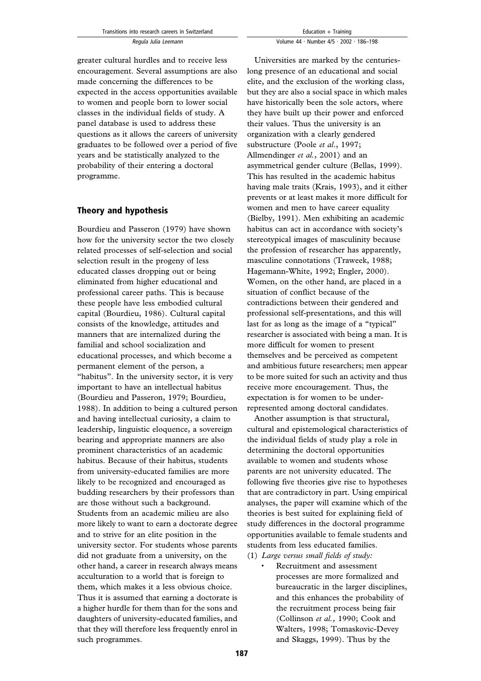greater cultural hurdles and to receive less encouragement. Several assumptions are also made concerning the differences to be expected in the access opportunities available to women and people born to lower social classes in the individual fields of study. A panel database is used to address these questions as it allows the careers of university graduates to be followed over a period of five years and be statistically analyzed to the probability of their entering a doctoral programme.

## **Theory and hypothesis**

Bourdieu and Passeron (1979) have shown how for the university sector the two closely related processes of self-selection and social selection result in the progeny of less educated classes dropping out or being eliminated from higher educational and professional career paths. This is because these people have less embodied cultural capital (Bourdieu, 1986). Cultural capital consists of the knowledge, attitudes and manners that are internalized during the familial and school socialization and educational processes, and which become a permanent element of the person, a "habitus". In the university sector, it is very important to have an intellectual habitus (Bourdieu and Passeron, 1979; Bourdieu, 1988). In addition to being a cultured person and having intellectual curiosity, a claim to leadership, linguistic eloquence, a sovereign bearing and appropriate manners are also prominent characteristics of an academic habitus. Because of their habitus, students from university-educated families are more likely to be recognized and encouraged as budding researchers by their professors than are those without such a background. Students from an academic milieu are also more likely to want to earn a doctorate degree and to strive for an elite position in the university sector. For students whose parents did not graduate from a university, on the other hand, a career in research always means acculturation to a world that is foreign to them, which makes it a less obvious choice. Thus it is assumed that earning a doctorate is a higher hurdle for them than for the sons and daughters of university-educated families, and that they will therefore less frequently enrol in such programmes.

Universities are marked by the centurieslong presence of an educational and social elite, and the exclusion of the working class, but they are also a social space in which males have historically been the sole actors, where they have built up their power and enforced their values. Thus the university is an organization with a clearly gendered substructure (Poole et al., 1997; Allmendinger et al., 2001) and an asymmetrical gender culture (Bellas, 1999). This has resulted in the academic habitus having male traits (Krais, 1993), and it either prevents or at least makes it more difficult for women and men to have career equality (Bielby, 1991). Men exhibiting an academic habitus can act in accordance with society's stereotypical images of masculinity because the profession of researcher has apparently, masculine connotations (Traweek, 1988; Hagemann-White, 1992; Engler, 2000). Women, on the other hand, are placed in a situation of conflict because of the contradictions between their gendered and professional self-presentations, and this will last for as long as the image of a "typical" researcher is associated with being a man. It is more difficult for women to present themselves and be perceived as competent and ambitious future researchers; men appear to be more suited for such an activity and thus receive more encouragement. Thus, the expectation is for women to be underrepresented among doctoral candidates.

Another assumption is that structural, cultural and epistemological characteristics of the individual fields of study play a role in determining the doctoral opportunities available to women and students whose parents are not university educated. The following five theories give rise to hypotheses that are contradictory in part. Using empirical analyses, the paper will examine which of the theories is best suited for explaining field of study differences in the doctoral programme opportunities available to female students and students from less educated families.

(1) Large versus small fields of study: Recruitment and assessment processes are more formalized and bureaucratic in the larger disciplines, and this enhances the probability of the recruitment process being fair (Collinson et al., 1990; Cook and Walters, 1998; Tomaskovic-Devey and Skaggs, 1999). Thus by the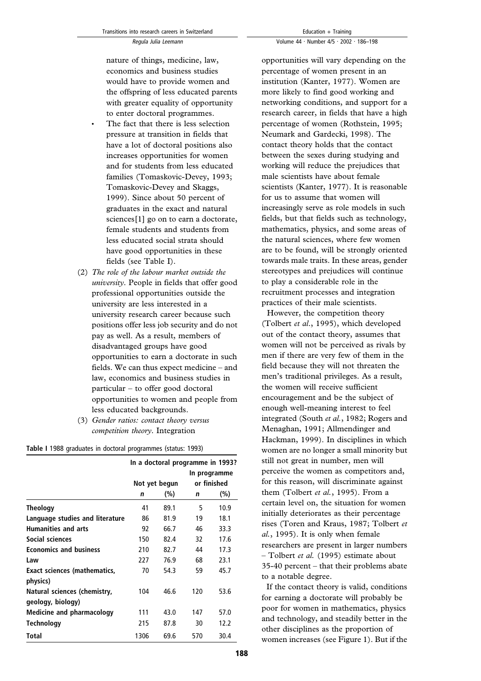Regula Julia Leemann

nature of things, medicine, law, economics and business studies would have to provide women and the offspring of less educated parents with greater equality of opportunity to enter doctoral programmes.

- The fact that there is less selection pressure at transition in fields that have a lot of doctoral positions also increases opportunities for women and for students from less educated families (Tomaskovic-Devey, 1993; Tomaskovic-Devey and Skaggs, 1999). Since about 50 percent of graduates in the exact and natural sciences<sup>[1]</sup> go on to earn a doctorate, female students and students from less educated social strata should have good opportunities in these fields (see Table I).
- (2) The role of the labour market outside the university. People in fields that offer good professional opportunities outside the university are less interested in a university research career because such positions offer less job security and do not pay as well. As a result, members of disadvantaged groups have good opportunities to earn a doctorate in such fields. We can thus expect medicine - and law, economics and business studies in particular - to offer good doctoral opportunities to women and people from less educated backgrounds.
- (3) Gender ratios: contact theory versus competition theory. Integration

Table I 1988 graduates in doctoral programmes (status: 1993)

|                                     | In a doctoral programme in 1993? |               |             |         |  |  |  |  |
|-------------------------------------|----------------------------------|---------------|-------------|---------|--|--|--|--|
|                                     | In programme                     |               |             |         |  |  |  |  |
|                                     |                                  | Not yet begun | or finished |         |  |  |  |  |
|                                     | n                                | (%)           | n           | $(\% )$ |  |  |  |  |
| Theology                            | 41                               | 89.1          | 5           | 10.9    |  |  |  |  |
| Language studies and literature     | 86                               | 81.9          | 19          | 18.1    |  |  |  |  |
| <b>Humanities and arts</b>          | 92                               | 66.7          | 46          | 33.3    |  |  |  |  |
| Social sciences                     | 150                              | 82.4          | 32          | 17.6    |  |  |  |  |
| <b>Economics and business</b>       | 210                              | 82.7          | 44          | 17.3    |  |  |  |  |
| Law                                 | 227                              | 76.9          | 68          | 23.1    |  |  |  |  |
| <b>Exact sciences (mathematics,</b> | 70                               | 54.3          | 59          | 45.7    |  |  |  |  |
| physics)                            |                                  |               |             |         |  |  |  |  |
| Natural sciences (chemistry,        | 104                              | 46.6          | 120         | 53.6    |  |  |  |  |
| geology, biology)                   |                                  |               |             |         |  |  |  |  |
| Medicine and pharmacology           | 111                              | 43.0          | 147         | 57.0    |  |  |  |  |
| Technology                          | 215                              | 87.8          | 30          | 12.2    |  |  |  |  |
| Total                               | 1306                             | 69.6          | 570         | 30.4    |  |  |  |  |

## opportunities will vary depending on the percentage of women present in an institution (Kanter, 1977). Women are more likely to find good working and networking conditions, and support for a research career, in fields that have a high percentage of women (Rothstein, 1995; Neumark and Gardecki, 1998). The contact theory holds that the contact between the sexes during studying and working will reduce the prejudices that male scientists have about female scientists (Kanter, 1977). It is reasonable for us to assume that women will increasingly serve as role models in such fields, but that fields such as technology, mathematics, physics, and some areas of the natural sciences, where few women are to be found, will be strongly oriented towards male traits. In these areas, gender stereotypes and prejudices will continue to play a considerable role in the

recruitment processes and integration practices of their male scientists. However, the competition theory (Tolbert et al., 1995), which developed out of the contact theory, assumes that women will not be perceived as rivals by men if there are very few of them in the field because they will not threaten the men's traditional privileges. As a result, the women will receive sufficient encouragement and be the subject of enough well-meaning interest to feel integrated (South et al., 1982; Rogers and Menaghan, 1991; Allmendinger and Hackman, 1999). In disciplines in which women are no longer a small minority but still not great in number, men will perceive the women as competitors and, for this reason, will discriminate against them (Tolbert et al., 1995). From a certain level on, the situation for women initially deteriorates as their percentage rises (Toren and Kraus, 1987; Tolbert et al., 1995). It is only when female researchers are present in larger numbers - Tolbert et al. (1995) estimate about 35-40 percent – that their problems abate to a notable degree.

If the contact theory is valid, conditions for earning a doctorate will probably be poor for women in mathematics, physics and technology, and steadily better in the other disciplines as the proportion of women increases (see Figure 1). But if the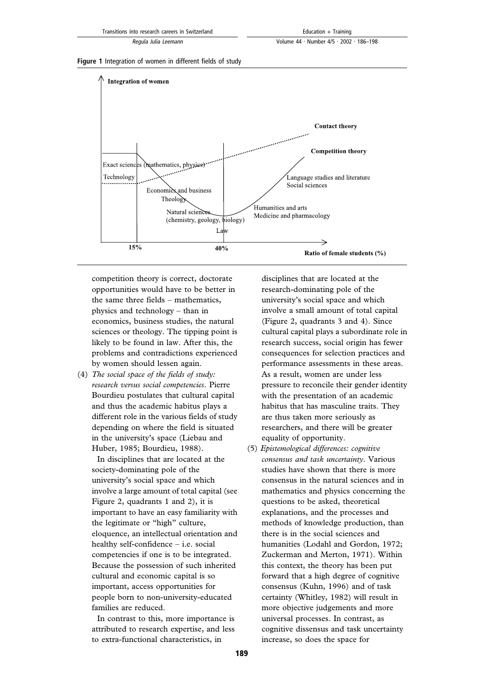



competition theory is correct, doctorate opportunities would have to be better in the same three fields  $-$  mathematics, physics and technology – than in economics, business studies, the natural sciences or theology. The tipping point is likely to be found in law. After this, the problems and contradictions experienced by women should lessen again.

 $(4)$  The social space of the fields of study: research versus social competencies. Pierre Bourdieu postulates that cultural capital and thus the academic habitus plays a different role in the various fields of study depending on where the field is situated in the university's space (Liebau and Huber, 1985; Bourdieu, 1988).

In disciplines that are located at the society-dominating pole of the university's social space and which involve a large amount of total capital (see Figure 2, quadrants 1 and 2), it is important to have an easy familiarity with the legitimate or "high" culture, eloquence, an intellectual orientation and healthy self-confidence - i.e. social competencies if one is to be integrated. Because the possession of such inherited cultural and economic capital is so important, access opportunities for people born to non-university-educated families are reduced.

In contrast to this, more importance is attributed to research expertise, and less to extra-functional characteristics, in

disciplines that are located at the research-dominating pole of the university's social space and which involve a small amount of total capital (Figure 2, quadrants 3 and 4). Since cultural capital plays a subordinate role in research success, social origin has fewer consequences for selection practices and performance assessments in these areas. As a result, women are under less pressure to reconcile their gender identity with the presentation of an academic habitus that has masculine traits. They are thus taken more seriously as researchers, and there will be greater equality of opportunity.

(5) Epistemological differences: cognitive consensus and task uncertainty. Various studies have shown that there is more consensus in the natural sciences and in mathematics and physics concerning the questions to be asked, theoretical explanations, and the processes and methods of knowledge production, than there is in the social sciences and humanities (Lodahl and Gordon, 1972; Zuckerman and Merton, 1971). Within this context, the theory has been put forward that a high degree of cognitive consensus (Kuhn, 1996) and of task certainty (Whitley, 1982) will result in more objective judgements and more universal processes. In contrast, as cognitive dissensus and task uncertainty increase, so does the space for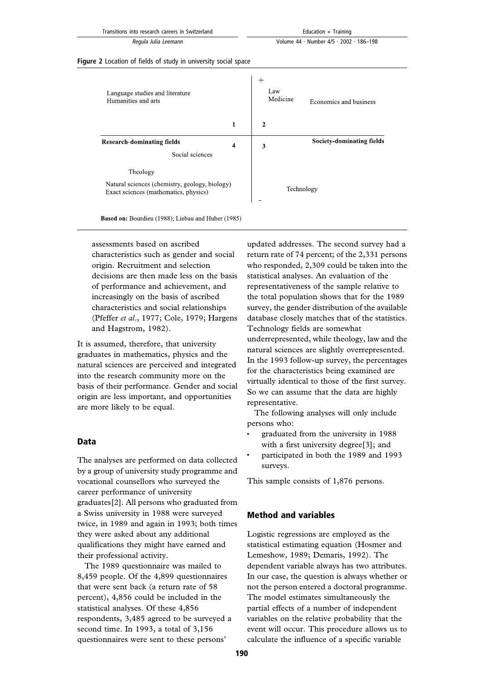Volume 44 · Number 4/5 · 2002 · 186-198

#### Figure 2 Location of fields of study in university social space

| Language studies and literature<br>Humanities and arts                                  |   | $\,+\,$<br>Law<br>Medicine | Economics and business    |
|-----------------------------------------------------------------------------------------|---|----------------------------|---------------------------|
|                                                                                         | 1 | 2                          |                           |
| <b>Research-dominating fields</b>                                                       | 4 | 3                          | Society-dominating fields |
| Social sciences                                                                         |   |                            |                           |
| Theology                                                                                |   |                            |                           |
| Natural sciences (chemistry, geology, biology)<br>Exact sciences (mathematics, physics) |   |                            | Technology                |

Based on: Bourdieu (1988): Liebau and Huber (1985)

assessments based on ascribed characteristics such as gender and social origin. Recruitment and selection decisions are then made less on the basis of performance and achievement, and increasingly on the basis of ascribed characteristics and social relationships (Pfeffer et al., 1977; Cole, 1979; Hargens and Hagstrom, 1982).

It is assumed, therefore, that university graduates in mathematics, physics and the natural sciences are perceived and integrated into the research community more on the basis of their performance. Gender and social origin are less important, and opportunities are more likely to be equal.

#### **Data**

The analyses are performed on data collected by a group of university study programme and vocational counsellors who surveyed the career performance of university graduates<sup>[2]</sup>. All persons who graduated from a Swiss university in 1988 were surveyed twice, in 1989 and again in 1993; both times they were asked about any additional qualifications they might have earned and their professional activity.

The 1989 questionnaire was mailed to 8,459 people. Of the 4,899 questionnaires that were sent back (a return rate of 58 percent), 4,856 could be included in the statistical analyses. Of these 4,856 respondents, 3,485 agreed to be surveyed a second time. In 1993, a total of 3,156 questionnaires were sent to these persons'

updated addresses. The second survey had a return rate of 74 percent; of the 2,331 persons who responded, 2,309 could be taken into the statistical analyses. An evaluation of the representativeness of the sample relative to the total population shows that for the 1989 survey, the gender distribution of the available database closely matches that of the statistics. Technology fields are somewhat underrepresented, while theology, law and the natural sciences are slightly overrepresented. In the 1993 follow-up survey, the percentages for the characteristics being examined are virtually identical to those of the first survey. So we can assume that the data are highly representative.

The following analyses will only include persons who:

- graduated from the university in 1988 with a first university degree<sup>[3]</sup>; and
- participated in both the 1989 and 1993 surveys.

This sample consists of 1,876 persons.

## **Method and variables**

Logistic regressions are employed as the statistical estimating equation (Hosmer and Lemeshow, 1989; Demaris, 1992). The dependent variable always has two attributes. In our case, the question is always whether or not the person entered a doctoral programme. The model estimates simultaneously the partial effects of a number of independent variables on the relative probability that the event will occur. This procedure allows us to calculate the influence of a specific variable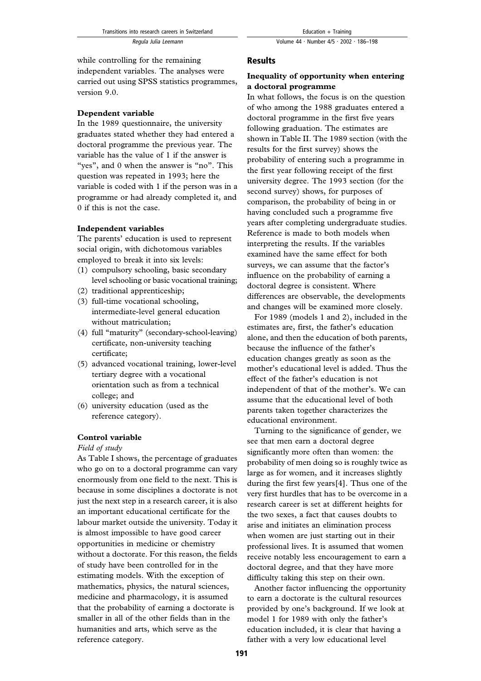while controlling for the remaining independent variables. The analyses were carried out using SPSS statistics programmes, version 9.0.

### Dependent variable

In the 1989 questionnaire, the university graduates stated whether they had entered a doctoral programme the previous year. The variable has the value of 1 if the answer is "ves", and 0 when the answer is "no". This question was repeated in 1993; here the variable is coded with 1 if the person was in a programme or had already completed it, and 0 if this is not the case.

### **Independent variables**

The parents' education is used to represent social origin, with dichotomous variables employed to break it into six levels:

- (1) compulsory schooling, basic secondary level schooling or basic vocational training;
- (2) traditional apprenticeship;
- (3) full-time vocational schooling, intermediate-level general education without matriculation;
- (4) full "maturity" (secondary-school-leaving) certificate, non-university teaching certificate;
- (5) advanced vocational training, lower-level tertiary degree with a vocational orientation such as from a technical college; and
- (6) university education (used as the reference category).

## Control variable

## Field of study

As Table I shows, the percentage of graduates who go on to a doctoral programme can vary enormously from one field to the next. This is because in some disciplines a doctorate is not just the next step in a research career, it is also an important educational certificate for the labour market outside the university. Today it is almost impossible to have good career opportunities in medicine or chemistry without a doctorate. For this reason, the fields of study have been controlled for in the estimating models. With the exception of mathematics, physics, the natural sciences, medicine and pharmacology, it is assumed that the probability of earning a doctorate is smaller in all of the other fields than in the humanities and arts, which serve as the reference category.

#### **Results**

### Inequality of opportunity when entering a doctoral programme

In what follows, the focus is on the question of who among the 1988 graduates entered a doctoral programme in the first five years following graduation. The estimates are shown in Table II. The 1989 section (with the results for the first survey) shows the probability of entering such a programme in the first year following receipt of the first university degree. The 1993 section (for the second survey) shows, for purposes of comparison, the probability of being in or having concluded such a programme five years after completing undergraduate studies. Reference is made to both models when interpreting the results. If the variables examined have the same effect for both surveys, we can assume that the factor's influence on the probability of earning a doctoral degree is consistent. Where differences are observable, the developments and changes will be examined more closely.

For 1989 (models 1 and 2), included in the estimates are, first, the father's education alone, and then the education of both parents, because the influence of the father's education changes greatly as soon as the mother's educational level is added. Thus the effect of the father's education is not independent of that of the mother's. We can assume that the educational level of both parents taken together characterizes the educational environment.

Turning to the significance of gender, we see that men earn a doctoral degree significantly more often than women: the probability of men doing so is roughly twice as large as for women, and it increases slightly during the first few years [4]. Thus one of the very first hurdles that has to be overcome in a research career is set at different heights for the two sexes, a fact that causes doubts to arise and initiates an elimination process when women are just starting out in their professional lives. It is assumed that women receive notably less encouragement to earn a doctoral degree, and that they have more difficulty taking this step on their own.

Another factor influencing the opportunity to earn a doctorate is the cultural resources provided by one's background. If we look at model 1 for 1989 with only the father's education included, it is clear that having a father with a very low educational level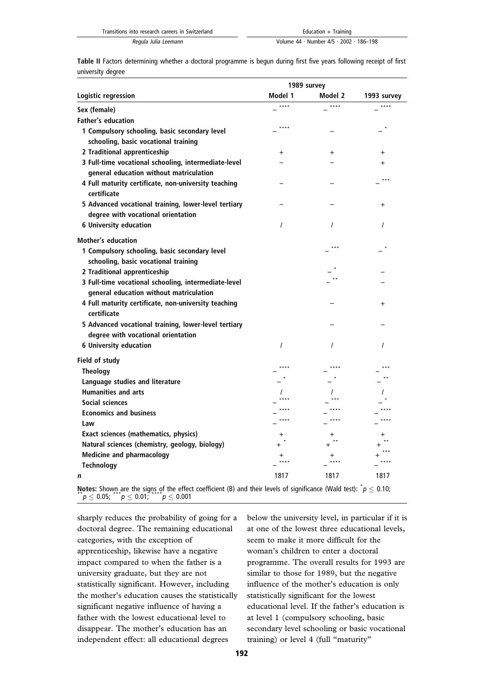| Transitions into research careers in Switzerland | raining                                    |  |  |  |  |  |
|--------------------------------------------------|--------------------------------------------|--|--|--|--|--|
| Julia Leemann<br>,,,,,,,,,                       | 186-198<br>44 Number 4/5 2002<br>ollume 44 |  |  |  |  |  |

Table II Factors determining whether a doctoral programme is begun during first five years following receipt of first university degree

|                                                                     |           | 1989 survey |              |  |  |
|---------------------------------------------------------------------|-----------|-------------|--------------|--|--|
| Logistic regression                                                 | Model 1   | Model 2     | 1993 survey  |  |  |
| Sex (female)                                                        |           |             |              |  |  |
| <b>Father's education</b>                                           |           |             |              |  |  |
| 1 Compulsory schooling, basic secondary level                       |           |             |              |  |  |
| schooling, basic vocational training                                |           |             |              |  |  |
| 2 Traditional apprenticeship                                        | $\ddot{}$ | $\ddot{}$   | $\ddot{}$    |  |  |
| 3 Full-time vocational schooling, intermediate-level                |           |             |              |  |  |
| general education without matriculation                             |           |             |              |  |  |
| 4 Full maturity certificate, non-university teaching<br>certificate |           |             |              |  |  |
| 5 Advanced vocational training, lower-level tertiary                |           |             | $+$          |  |  |
| degree with vocational orientation                                  |           |             |              |  |  |
| 6 University education                                              | $\prime$  | $\prime$    | $\prime$     |  |  |
| <b>Mother's education</b>                                           |           |             |              |  |  |
| 1 Compulsory schooling, basic secondary level                       |           |             |              |  |  |
| schooling, basic vocational training                                |           |             |              |  |  |
| 2 Traditional apprenticeship                                        |           |             |              |  |  |
| 3 Full-time vocational schooling, intermediate-level                |           |             |              |  |  |
| general education without matriculation                             |           |             |              |  |  |
| 4 Full maturity certificate, non-university teaching                |           |             | $\mathrm{+}$ |  |  |
| certificate                                                         |           |             |              |  |  |
| 5 Advanced vocational training, lower-level tertiary                |           |             |              |  |  |
| degree with vocational orientation                                  |           |             |              |  |  |
| 6 University education                                              | $\prime$  | $\prime$    | $\prime$     |  |  |
|                                                                     |           |             |              |  |  |
| Field of study<br><b>Theology</b>                                   |           |             |              |  |  |
| Language studies and literature                                     |           |             |              |  |  |
| <b>Humanities and arts</b>                                          |           |             |              |  |  |
| Social sciences                                                     |           |             |              |  |  |
| <b>Economics and business</b>                                       |           |             |              |  |  |
| Law                                                                 |           |             |              |  |  |
| Exact sciences (mathematics, physics)                               |           |             |              |  |  |
| Natural sciences (chemistry, geology, biology)                      |           |             |              |  |  |
| <b>Medicine and pharmacology</b>                                    |           |             |              |  |  |
| <b>Technology</b>                                                   | ****      |             |              |  |  |
| n                                                                   | 1817      | 1817        | 1817         |  |  |

Notes: Shown are the signs of the effect coefficient (B) and their levels of significance (Wald test):  $^*p \leq 0.10$ ;  $\lceil p \leq$  0.05;  $\lceil p \leq$  0.01;  $\lceil p \leq$  0.001

sharply reduces the probability of going for a doctoral degree. The remaining educational categories, with the exception of apprenticeship, likewise have a negative impact compared to when the father is a university graduate, but they are not statistically significant. However, including the mother's education causes the statistically significant negative influence of having a father with the lowest educational level to disappear. The mother's education has an independent effect: all educational degrees

below the university level, in particular if it is at one of the lowest three educational levels, seem to make it more difficult for the woman's children to enter a doctoral programme. The overall results for 1993 are similar to those for 1989, but the negative influence of the mother's education is only statistically significant for the lowest educational level. If the father's education is at level 1 (compulsory schooling, basic secondary level schooling or basic vocational training) or level 4 (full "maturity"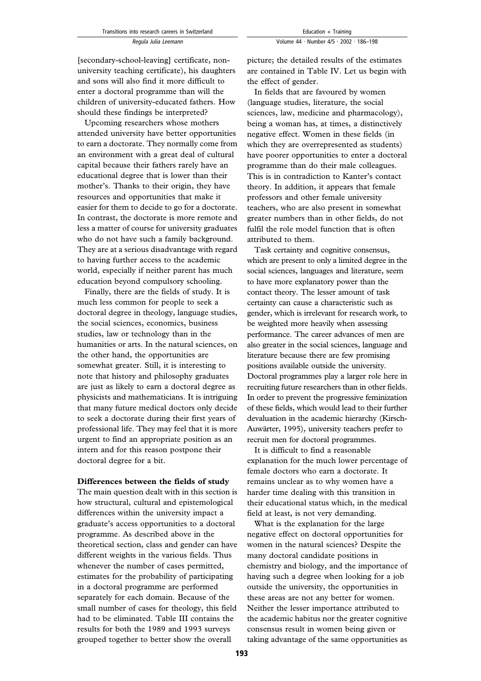[secondary-school-leaving] certificate, nonuniversity teaching certificate), his daughters and sons will also find it more difficult to enter a doctoral programme than will the children of university-educated fathers. How should these findings be interpreted?

Upcoming researchers whose mothers attended university have better opportunities to earn a doctorate. They normally come from an environment with a great deal of cultural capital because their fathers rarely have an educational degree that is lower than their mother's. Thanks to their origin, they have resources and opportunities that make it easier for them to decide to go for a doctorate. In contrast, the doctorate is more remote and less a matter of course for university graduates who do not have such a family background. They are at a serious disadvantage with regard to having further access to the academic world, especially if neither parent has much education beyond compulsory schooling.

Finally, there are the fields of study. It is much less common for people to seek a doctoral degree in theology, language studies, the social sciences, economics, business studies, law or technology than in the humanities or arts. In the natural sciences, on the other hand, the opportunities are somewhat greater. Still, it is interesting to note that history and philosophy graduates are just as likely to earn a doctoral degree as physicists and mathematicians. It is intriguing that many future medical doctors only decide to seek a doctorate during their first years of professional life. They may feel that it is more urgent to find an appropriate position as an intern and for this reason postpone their doctoral degree for a bit.

#### Differences between the fields of study

The main question dealt with in this section is how structural, cultural and epistemological differences within the university impact a graduate's access opportunities to a doctoral programme. As described above in the theoretical section, class and gender can have different weights in the various fields. Thus whenever the number of cases permitted, estimates for the probability of participating in a doctoral programme are performed separately for each domain. Because of the small number of cases for theology, this field had to be eliminated. Table III contains the results for both the 1989 and 1993 surveys grouped together to better show the overall

picture; the detailed results of the estimates are contained in Table IV. Let us begin with the effect of gender.

In fields that are favoured by women (language studies, literature, the social sciences, law, medicine and pharmacology), being a woman has, at times, a distinctively negative effect. Women in these fields (in which they are overrepresented as students) have poorer opportunities to enter a doctoral programme than do their male colleagues. This is in contradiction to Kanter's contact theory. In addition, it appears that female professors and other female university teachers, who are also present in somewhat greater numbers than in other fields, do not fulfil the role model function that is often attributed to them

Task certainty and cognitive consensus, which are present to only a limited degree in the social sciences, languages and literature, seem to have more explanatory power than the contact theory. The lesser amount of task certainty can cause a characteristic such as gender, which is irrelevant for research work, to be weighted more heavily when assessing performance. The career advances of men are also greater in the social sciences, language and literature because there are few promising positions available outside the university. Doctoral programmes play a larger role here in recruiting future researchers than in other fields. In order to prevent the progressive feminization of these fields, which would lead to their further devaluation in the academic hierarchy (Kirsch-Auwärter, 1995), university teachers prefer to recruit men for doctoral programmes.

It is difficult to find a reasonable explanation for the much lower percentage of female doctors who earn a doctorate. It remains unclear as to why women have a harder time dealing with this transition in their educational status which, in the medical field at least, is not very demanding.

What is the explanation for the large negative effect on doctoral opportunities for women in the natural sciences? Despite the many doctoral candidate positions in chemistry and biology, and the importance of having such a degree when looking for a job outside the university, the opportunities in these areas are not any better for women. Neither the lesser importance attributed to the academic habitus nor the greater cognitive consensus result in women being given or taking advantage of the same opportunities as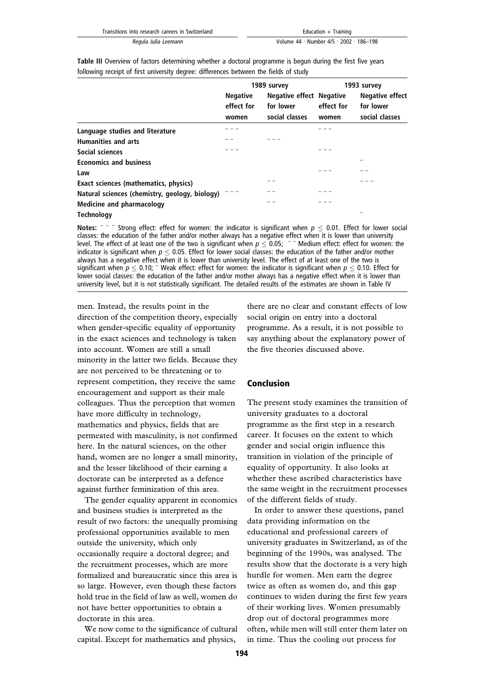Volume 44 · Number 4/5 · 2002 · 186-198

|                                                |                                        | 1989 survey                                             |                     | 1993 survey                                           |
|------------------------------------------------|----------------------------------------|---------------------------------------------------------|---------------------|-------------------------------------------------------|
|                                                | <b>Negative</b><br>effect for<br>women | Negative effect Negative<br>for lower<br>social classes | effect for<br>women | <b>Negative effect</b><br>for lower<br>social classes |
| Language studies and literature                |                                        |                                                         |                     |                                                       |
| <b>Humanities and arts</b>                     |                                        |                                                         |                     |                                                       |
| Social sciences                                |                                        |                                                         |                     |                                                       |
| <b>Economics and business</b>                  |                                        |                                                         |                     |                                                       |
| Law                                            |                                        |                                                         |                     |                                                       |
| Exact sciences (mathematics, physics)          |                                        |                                                         |                     |                                                       |
| Natural sciences (chemistry, geology, biology) |                                        |                                                         |                     |                                                       |
| <b>Medicine and pharmacology</b>               |                                        |                                                         |                     |                                                       |
|                                                |                                        |                                                         |                     |                                                       |

Table III Overview of factors determining whether a doctoral programme is begun during the first five years following receipt of first university degree: differences between the fields of study

Technology

Strong effect: effect for women: the indicator is significant when  $p \le 0.01$ . Effect for lower social Notes: classes: the education of the father and/or mother always has a negative effect when it is lower than university level. The effect of at least one of the two is significant when  $p \leq 0.05$ ;  $\overline{\phantom{a}}$ - Medium effect: effect for women: the indicator is significant when  $p < 0.05$ . Effect for lower social classes: the education of the father and/or mother always has a negative effect when it is lower than university level. The effect of at least one of the two is significant when  $p < 0.10$ ;  $\overline{ }$  Weak effect: effect for women: the indicator is significant when  $p < 0.10$ . Effect for lower social classes: the education of the father and/or mother always has a negative effect when it is lower than university level, but it is not statistically significant. The detailed results of the estimates are shown in Table IV

men. Instead, the results point in the direction of the competition theory, especially when gender-specific equality of opportunity in the exact sciences and technology is taken into account. Women are still a small minority in the latter two fields. Because they are not perceived to be threatening or to represent competition, they receive the same encouragement and support as their male colleagues. Thus the perception that women have more difficulty in technology, mathematics and physics, fields that are permeated with masculinity, is not confirmed here. In the natural sciences, on the other hand, women are no longer a small minority, and the lesser likelihood of their earning a doctorate can be interpreted as a defence against further feminization of this area.

The gender equality apparent in economics and business studies is interpreted as the result of two factors: the unequally promising professional opportunities available to men outside the university, which only occasionally require a doctoral degree; and the recruitment processes, which are more formalized and bureaucratic since this area is so large. However, even though these factors hold true in the field of law as well, women do not have better opportunities to obtain a doctorate in this area.

We now come to the significance of cultural capital. Except for mathematics and physics,

there are no clear and constant effects of low social origin on entry into a doctoral programme. As a result, it is not possible to say anything about the explanatory power of the five theories discussed above.

# **Conclusion**

The present study examines the transition of university graduates to a doctoral programme as the first step in a research career. It focuses on the extent to which gender and social origin influence this transition in violation of the principle of equality of opportunity. It also looks at whether these ascribed characteristics have the same weight in the recruitment processes of the different fields of study.

In order to answer these questions, panel data providing information on the educational and professional careers of university graduates in Switzerland, as of the beginning of the 1990s, was analysed. The results show that the doctorate is a very high hurdle for women. Men earn the degree twice as often as women do, and this gap continues to widen during the first few years of their working lives. Women presumably drop out of doctoral programmes more often, while men will still enter them later on in time. Thus the cooling out process for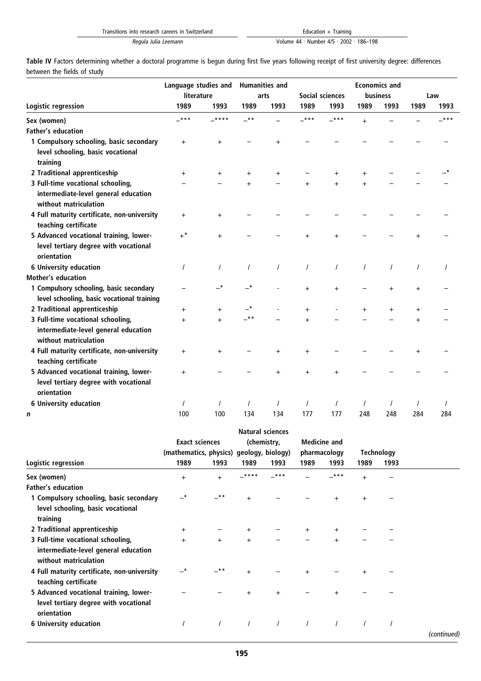| Transitions into research careers in Switzerland | Education $+$ Training                  |
|--------------------------------------------------|-----------------------------------------|
| Reaula Julia Leemann                             | Volume 44 · Number 4/5 · 2002 · 186-198 |

Table IV Factors determining whether a doctoral programme is begun during first five years following receipt of first university degree: differences between the fields of study

|                                                                                          | Language studies and<br><b>Humanities and</b> |           | <b>Economics and</b> |           |            |                 |           |          |           |          |
|------------------------------------------------------------------------------------------|-----------------------------------------------|-----------|----------------------|-----------|------------|-----------------|-----------|----------|-----------|----------|
|                                                                                          | literature                                    |           |                      | arts      |            | Social sciences |           | business |           | Law      |
| Logistic regression                                                                      | 1989                                          | 1993      | 1989                 | 1993      | 1989       | 1993            | 1989      | 1993     | 1989      | 1993     |
| Sex (women)                                                                              | $-***$                                        | $***$     | $\rightarrow$ **     |           | $***$      | $-***$          | $+$       |          |           | $***$    |
| <b>Father's education</b>                                                                |                                               |           |                      |           |            |                 |           |          |           |          |
| 1 Compulsory schooling, basic secondary<br>level schooling, basic vocational<br>training | $\ddot{}$                                     | $+$       |                      |           |            |                 |           |          |           |          |
| 2 Traditional apprenticeship                                                             | $+$                                           | $\ddot{}$ | $\ddot{}$            | $\ddot{}$ |            | $\ddot{}$       | $\ddot{}$ |          |           |          |
| 3 Full-time vocational schooling,                                                        |                                               |           | $\ddot{}$            |           | $+$        | $+$             | $+$       |          |           |          |
| intermediate-level general education<br>without matriculation                            |                                               |           |                      |           |            |                 |           |          |           |          |
| 4 Full maturity certificate, non-university<br>teaching certificate                      | $+$                                           | $+$       |                      |           |            |                 |           |          |           |          |
| 5 Advanced vocational training, lower-                                                   | $+$ *                                         | $+$       |                      |           | $+$        | $+$             |           |          | $+$       |          |
| level tertiary degree with vocational<br>orientation                                     |                                               |           |                      |           |            |                 |           |          |           |          |
| 6 University education                                                                   | $\prime$                                      | $\prime$  | $\prime$             | $\prime$  | $\prime$   | $\overline{I}$  | $\prime$  | $\prime$ | $\prime$  | $\prime$ |
| <b>Mother's education</b>                                                                |                                               |           |                      |           |            |                 |           |          |           |          |
| 1 Compulsory schooling, basic secondary                                                  |                                               | _*        | _*                   |           | $+$        | $+$             |           | $+$      | $\ddot{}$ |          |
| level schooling, basic vocational training                                               |                                               |           |                      |           |            |                 |           |          |           |          |
| 2 Traditional apprenticeship                                                             | $+$                                           | $\ddot{}$ | _*                   |           | $+$        |                 | $+$       | $+$      | $\ddot{}$ |          |
| 3 Full-time vocational schooling,                                                        | $\ddot{}$                                     | $+$       | $***$                |           |            |                 |           |          | $+$       |          |
| intermediate-level general education<br>without matriculation                            |                                               |           |                      |           |            |                 |           |          |           |          |
| 4 Full maturity certificate, non-university                                              | $+$                                           | $\ddot{}$ |                      | $\ddot{}$ | $\hbox{ }$ |                 |           |          |           |          |
| teaching certificate                                                                     |                                               |           |                      |           |            |                 |           |          |           |          |
| 5 Advanced vocational training, lower-                                                   | $+$                                           |           |                      | $+$       | $+$        | $+$             |           |          |           |          |
| level tertiary degree with vocational<br>orientation                                     |                                               |           |                      |           |            |                 |           |          |           |          |
| 6 University education                                                                   |                                               | $\prime$  |                      |           |            |                 |           |          |           |          |
| n                                                                                        | 100                                           | 100       | 134                  | 134       | 177        | 177             | 248       | 248      | 284       | 284      |

|                                                                                                    |                                          |          |           | <b>Natural sciences</b> |           |                     |           |                   |             |
|----------------------------------------------------------------------------------------------------|------------------------------------------|----------|-----------|-------------------------|-----------|---------------------|-----------|-------------------|-------------|
|                                                                                                    | <b>Exact sciences</b>                    |          |           | (chemistry,             |           | <b>Medicine and</b> |           |                   |             |
|                                                                                                    | (mathematics, physics) geology, biology) |          |           |                         |           | pharmacology        |           | <b>Technology</b> |             |
| Logistic regression                                                                                | 1989                                     | 1993     | 1989      | 1993                    | 1989      | 1993                | 1989      | 1993              |             |
| Sex (women)                                                                                        | $+$                                      | $+$      | ****      | ***                     |           | ***                 | $+$       |                   |             |
| <b>Father's education</b>                                                                          |                                          |          |           |                         |           |                     |           |                   |             |
| 1 Compulsory schooling, basic secondary<br>level schooling, basic vocational<br>training           | _*_                                      | $-***$   | $+$       |                         |           | $+$                 | $\ddot{}$ |                   |             |
| 2 Traditional apprenticeship                                                                       | $\ddot{}$                                |          | $\ddot{}$ |                         | $\ddot{}$ | $\ddot{}$           |           |                   |             |
| 3 Full-time vocational schooling,<br>intermediate-level general education<br>without matriculation | $+$                                      | $+$      | $\ddot{}$ |                         |           | $+$                 |           |                   |             |
| 4 Full maturity certificate, non-university<br>teaching certificate                                |                                          | $-***$   | $+$       |                         | $+$       |                     | $+$       |                   |             |
| 5 Advanced vocational training, lower-<br>level tertiary degree with vocational<br>orientation     |                                          |          | $+$       | $+$                     |           | $+$                 |           |                   |             |
| 6 University education                                                                             |                                          | $\prime$ | $\prime$  | $\prime$                | $\prime$  | $\prime$            | $\prime$  |                   | (continued) |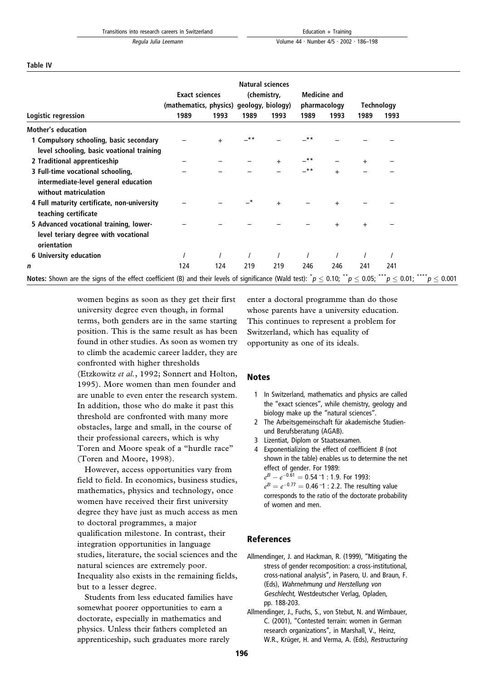Regula Julia Leemann

Volume 44 · Number 4/5 · 2002 · 186-198

#### **Table IV**

|                                                                                                                                                                                  | <b>Exact sciences</b>                    | <b>Natural sciences</b><br>(chemistry, |       | <b>Medicine and</b> |      |              |           |                   |  |
|----------------------------------------------------------------------------------------------------------------------------------------------------------------------------------|------------------------------------------|----------------------------------------|-------|---------------------|------|--------------|-----------|-------------------|--|
|                                                                                                                                                                                  | (mathematics, physics) geology, biology) |                                        |       |                     |      | pharmacology |           | <b>Technology</b> |  |
| Logistic regression                                                                                                                                                              | 1989                                     | 1993                                   | 1989  | 1993                | 1989 | 1993         | 1989      | 1993              |  |
| <b>Mother's education</b>                                                                                                                                                        |                                          |                                        |       |                     |      |              |           |                   |  |
| 1 Compulsory schooling, basic secondary<br>level schooling, basic voational training                                                                                             |                                          | $+$                                    | $***$ |                     | **   |              |           |                   |  |
| 2 Traditional apprenticeship                                                                                                                                                     |                                          |                                        |       | $+$                 |      |              | $\ddot{}$ |                   |  |
| 3 Full-time vocational schooling,<br>intermediate-level general education<br>without matriculation                                                                               |                                          |                                        |       |                     | _**  | $+$          |           |                   |  |
| 4 Full maturity certificate, non-university<br>teaching certificate                                                                                                              |                                          |                                        |       | $^{+}$              |      | $\ddot{}$    |           |                   |  |
| 5 Advanced vocational training, lower-<br>level teriary degree with vocational<br>orientation                                                                                    |                                          |                                        |       |                     |      | $\ddot{}$    | $^{+}$    |                   |  |
| 6 University education                                                                                                                                                           |                                          |                                        |       |                     |      |              |           |                   |  |
| n                                                                                                                                                                                | 124                                      | 124                                    | 219   | 219                 | 246  | 246          | 241       | 241               |  |
| Notes: Shown are the signs of the effect coefficient (B) and their levels of significance (Wald test): $^*p \le 0.10$ ; $^*p \le 0.05$ ; $^{**}p \le 0.01$ ; $^{***}p \le 0.001$ |                                          |                                        |       |                     |      |              |           |                   |  |

women begins as soon as they get their first university degree even though, in formal

terms, both genders are in the same starting position. This is the same result as has been found in other studies. As soon as women try to climb the academic career ladder, they are confronted with higher thresholds

(Etzkowitz et al., 1992; Sonnert and Holton, 1995). More women than men founder and are unable to even enter the research system. In addition, those who do make it past this threshold are confronted with many more obstacles, large and small, in the course of their professional careers, which is why Toren and Moore speak of a "hurdle race" (Toren and Moore, 1998).

However, access opportunities vary from field to field. In economics, business studies, mathematics, physics and technology, once women have received their first university degree they have just as much access as men to doctoral programmes, a major qualification milestone. In contrast, their integration opportunities in language studies, literature, the social sciences and the natural sciences are extremely poor. Inequality also exists in the remaining fields, but to a lesser degree.

Students from less educated families have somewhat poorer opportunities to earn a doctorate, especially in mathematics and physics. Unless their fathers completed an apprenticeship, such graduates more rarely

enter a doctoral programme than do those whose parents have a university education. This continues to represent a problem for Switzerland, which has equality of opportunity as one of its ideals.

#### **Notes**

- 1 In Switzerland, mathematics and physics are called the "exact sciences", while chemistry, geology and biology make up the "natural sciences".
- 2 The Arbeitsgemeinschaft für akademische Studienund Berufsberatung (AGAB).
- 3 Lizentiat, Diplom or Staatsexamen.
- 4 Exponentializing the effect of coefficient B (not shown in the table) enables us to determine the net effect of gender. For 1989:
	- $e^{B} e^{-0.61} = 0.54$  (1 : 1.9. For 1993:
	- $e^{B} = e^{-0.77} = 0.46$  ~1 : 2.2. The resulting value corresponds to the ratio of the doctorate probability of women and men.

#### **References**

- Allmendinger, J. and Hackman, R. (1999), "Mitigating the stress of gender recomposition: a cross-institutional, cross-national analysis", in Pasero, U. and Braun, F. (Eds), Wahrnehmung und Herstellung von Geschlecht, Westdeutscher Verlag, Opladen, pp. 188-203.
- Allmendinger, J., Fuchs, S., von Stebut, N. and Wimbauer, C. (2001), "Contested terrain: women in German research organizations", in Marshall, V., Heinz, W.R., Krüger, H. and Verma, A. (Eds), Restructuring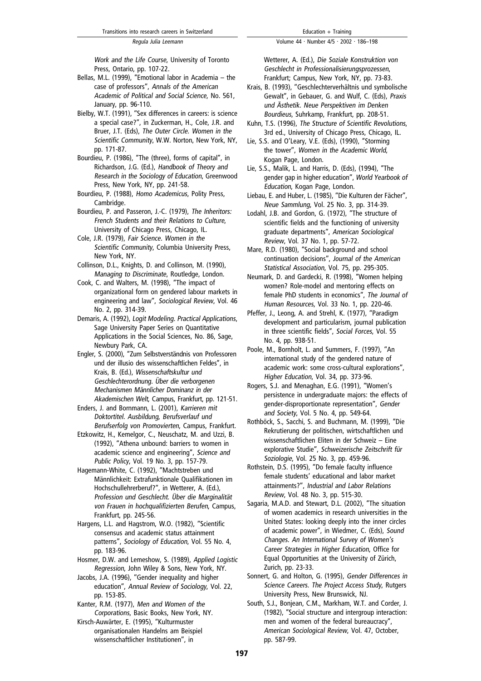Work and the Life Course, University of Toronto Press, Ontario, pp. 107-22.

- Bellas, M.L. (1999), "Emotional labor in Academia the case of professors", Annals of the American Academic of Political and Social Science, No. 561. January, pp. 96-110.
- Bielby, W.T. (1991). "Sex differences in careers: is science a special case?", in Zuckerman, H., Cole, J.R. and Bruer, J.T. (Eds), The Outer Circle. Women in the Scientific Community, W.W. Norton, New York, NY, pp. 171-87.
- Bourdieu, P. (1986), "The (three), forms of capital", in Richardson, J.G. (Ed.), Handbook of Theory and Research in the Sociology of Education, Greenwood Press, New York, NY, pp. 241-58.
- Bourdieu, P. (1988), Homo Academicus, Polity Press, Cambridge.
- Bourdieu, P. and Passeron, J.-C. (1979), The Inheritors: French Students and their Relations to Culture. University of Chicago Press, Chicago, IL.
- Cole, J.R. (1979), Fair Science. Women in the Scientific Community, Columbia University Press, New York, NY.
- Collinson, D.L., Knights, D. and Collinson, M. (1990), Managing to Discriminate, Routledge, London.
- Cook, C. and Walters, M. (1998), "The impact of organizational form on gendered labour markets in engineering and law", Sociological Review, Vol. 46 No. 2, pp. 314-39.
- Demaris, A. (1992), Logit Modeling. Practical Applications, Sage University Paper Series on Quantitative Applications in the Social Sciences, No. 86, Sage, Newbury Park, CA.
- Engler, S. (2000), "Zum Selbstverständnis von Professoren und der illusio des wissenschaftlichen Feldes", in Krais, B. (Ed.), Wissenschaftskultur und Geschlechterordnung. Über die verborgenen Mechanismen Männlicher Dominanz in der Akademischen Welt, Campus, Frankfurt, pp. 121-51.
- Enders, J. and Bornmann, L. (2001), Karrieren mit Doktortitel. Ausbildung, Berufsverlauf und Berufserfolg von Promovierten, Campus, Frankfurt.
- Etzkowitz, H., Kemelgor, C., Neuschatz, M. and Uzzi, B. (1992), "Athena unbound: barriers to women in academic science and engineering", Science and Public Policy, Vol. 19 No. 3, pp. 157-79.
- Hagemann-White, C. (1992), "Machtstreben und Männlichkeit: Extrafunktionale Qualifikationen im Hochschullehrerberuf?", in Wetterer, A. (Ed.), Profession und Geschlecht. Über die Marginalität von Frauen in hochqualifizierten Berufen, Campus, Frankfurt, pp. 245-56.
- Hargens, L.L. and Hagstrom, W.O. (1982), "Scientific consensus and academic status attainment patterns", Sociology of Education, Vol. 55 No. 4, pp. 183-96.
- Hosmer, D.W. and Lemeshow, S. (1989), Applied Logistic Regression, John Wiley & Sons, New York, NY.
- Jacobs, J.A. (1996), "Gender inequality and higher education", Annual Review of Sociology, Vol. 22, pp. 153-85.
- Kanter, R.M. (1977), Men and Women of the Corporations, Basic Books, New York, NY.
- Kirsch-Auwärter, E. (1995), "Kulturmuster organisationalen Handelns am Beispiel wissenschaftlicher Institutionen", in

Wetterer, A. (Ed.), Die Soziale Konstruktion von Geschlecht in Professionalisierungsprozessen, Frankfurt; Campus, New York, NY, pp. 73-83.

- Krais, B. (1993), "Geschlechterverhältnis und symbolische Gewalt", in Gebauer, G. and Wulf, C. (Eds), Praxis und Ästhetik. Neue Perspektiven im Denken Bourdieus, Suhrkamp, Frankfurt, pp. 208-51.
- Kuhn, T.S. (1996), The Structure of Scientific Revolutions, 3rd ed., University of Chicago Press, Chicago, IL.
- Lie, S.S. and O'Leary, V.E. (Eds), (1990), "Storming the tower", Women in the Academic World, Kogan Page, London.
- Lie, S.S., Malik, L. and Harris, D. (Eds), (1994), "The gender gap in higher education", World Yearbook of Education, Kogan Page, London.
- Liebau, E. and Huber, L. (1985), "Die Kulturen der Fächer", Neue Sammlung, Vol. 25 No. 3, pp. 314-39.
- Lodahl, J.B. and Gordon, G. (1972), "The structure of scientific fields and the functioning of university graduate departments", American Sociological Review, Vol. 37 No. 1, pp. 57-72.
- Mare, R.D. (1980), "Social background and school continuation decisions", Journal of the American Statistical Association, Vol. 75, pp. 295-305.
- Neumark, D. and Gardecki, R. (1998), "Women helping women? Role-model and mentoring effects on female PhD students in economics", The Journal of Human Resources, Vol. 33 No. 1, pp. 220-46.
- Pfeffer, J., Leong, A. and Strehl, K. (1977), "Paradigm development and particularism, journal publication in three scientific fields", Social Forces, Vol. 55 No. 4, pp. 938-51.
- Poole, M., Bornholt, L. and Summers, F. (1997), "An international study of the gendered nature of academic work: some cross-cultural explorations", Higher Education, Vol. 34, pp. 373-96.
- Rogers, S.J. and Menaghan, E.G. (1991), "Women's persistence in undergraduate majors: the effects of gender-disproportionate representation", Gender and Society, Vol. 5 No. 4, pp. 549-64.
- Rothböck, S., Sacchi, S. and Buchmann, M. (1999), "Die Rekrutierung der politischen, wirtschaftlichen und wissenschaftlichen Eliten in der Schweiz - Eine explorative Studie", Schweizerische Zeitschrift für Soziologie, Vol. 25 No. 3, pp. 459-96.
- Rothstein, D.S. (1995), "Do female faculty influence female students' educational and labor market attainments?", Industrial and Labor Relations Review, Vol. 48 No. 3, pp. 515-30.
- Sagaria, M.A.D. and Stewart, D.L. (2002), "The situation of women academics in research universities in the United States: looking deeply into the inner circles of academic power", in Wiedmer, C. (Eds), Sound Changes. An International Survey of Women's Career Strategies in Higher Education, Office for Equal Opportunities at the University of Zürich, Zurich, pp. 23-33.
- Sonnert, G. and Holton, G. (1995), Gender Differences in Science Careers. The Project Access Study, Rutgers University Press, New Brunswick, NJ.
- South, S.J., Bonjean, C.M., Markham, W.T. and Corder, J. (1982), "Social structure and intergroup interaction: men and women of the federal bureaucracy", American Sociological Review, Vol. 47, October, pp. 587-99.